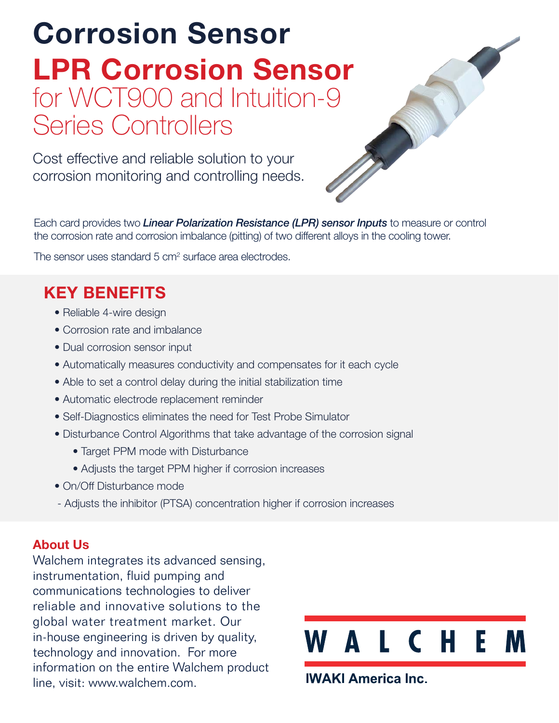# Corrosion Sensor LPR Corrosion Sensor for WCT900 and Intuition-9 Series Controllers

Cost effective and reliable solution to your corrosion monitoring and controlling needs.

Each card provides two *Linear Polarization Resistance (LPR) sensor Inputs* to measure or control the corrosion rate and corrosion imbalance (pitting) of two different alloys in the cooling tower.

The sensor uses standard 5 cm<sup>2</sup> surface area electrodes.

# KEY BENEFITS

- Reliable 4-wire design
- Corrosion rate and imbalance
- Dual corrosion sensor input
- Automatically measures conductivity and compensates for it each cycle
- Able to set a control delay during the initial stabilization time
- Automatic electrode replacement reminder
- Self-Diagnostics eliminates the need for Test Probe Simulator
- Disturbance Control Algorithms that take advantage of the corrosion signal
	- Target PPM mode with Disturbance
	- Adjusts the target PPM higher if corrosion increases
- On/Off Disturbance mode
- Adjusts the inhibitor (PTSA) concentration higher if corrosion increases

# About Us

Walchem integrates its advanced sensing, instrumentation, fluid pumping and communications technologies to deliver reliable and innovative solutions to the global water treatment market. Our in-house engineering is driven by quality, technology and innovation. For more information on the entire Walchem product line, visit: www.walchem.com.



**IWAKI America Inc.**